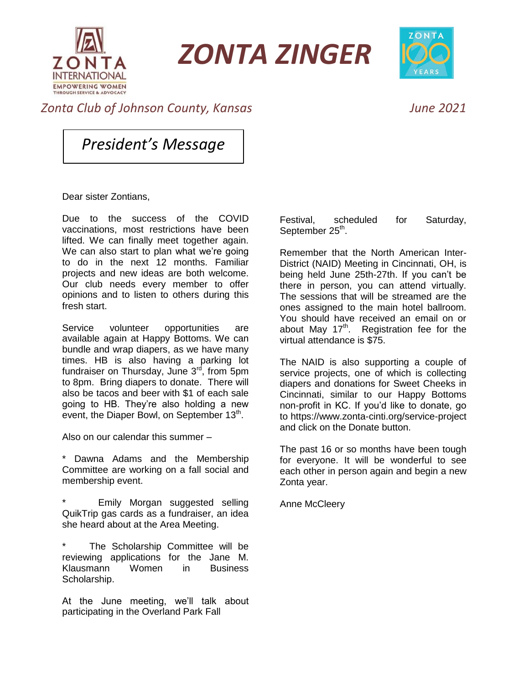

*ZONTA ZINGER*



## *Zonta Club of Johnson County, Kansas June 2021*

*President's Message*

Dear sister Zontians,

Due to the success of the COVID vaccinations, most restrictions have been lifted. We can finally meet together again. We can also start to plan what we're going to do in the next 12 months. Familiar projects and new ideas are both welcome. Our club needs every member to offer opinions and to listen to others during this fresh start.

Service volunteer opportunities are available again at Happy Bottoms. We can bundle and wrap diapers, as we have many times. HB is also having a parking lot fundraiser on Thursday, June  $3<sup>rd</sup>$ , from 5pm to 8pm. Bring diapers to donate. There will also be tacos and beer with \$1 of each sale going to HB. They're also holding a new event, the Diaper Bowl, on September 13<sup>th</sup>.

Also on our calendar this summer –

\* Dawna Adams and the Membership Committee are working on a fall social and membership event.

Emily Morgan suggested selling QuikTrip gas cards as a fundraiser, an idea she heard about at the Area Meeting.

The Scholarship Committee will be reviewing applications for the Jane M. Klausmann Women in Business Scholarship.

At the June meeting, we'll talk about participating in the Overland Park Fall

Festival, scheduled for Saturday, September 25<sup>th</sup>.

Remember that the North American Inter-District (NAID) Meeting in Cincinnati, OH, is being held June 25th-27th. If you can't be there in person, you can attend virtually. The sessions that will be streamed are the ones assigned to the main hotel ballroom. You should have received an email on or about May  $17<sup>th</sup>$ . Registration fee for the virtual attendance is \$75.

The NAID is also supporting a couple of service projects, one of which is collecting diapers and donations for Sweet Cheeks in Cincinnati, similar to our Happy Bottoms non-profit in KC. If you'd like to donate, go to https://www.zonta-cinti.org/service-project and click on the Donate button.

The past 16 or so months have been tough for everyone. It will be wonderful to see each other in person again and begin a new Zonta year.

Anne McCleery